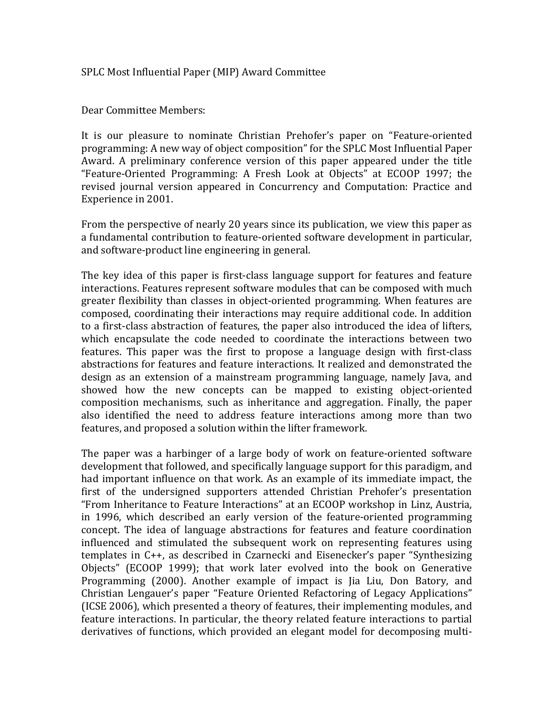## SPLC Most Influential Paper (MIP) Award Committee

Dear Committee Members:

It is our pleasure to nominate Christian Prehofer's paper on "Feature-oriented programming: A new way of object composition" for the SPLC Most Influential Paper Award. A preliminary conference version of this paper appeared under the title "Feature-Oriented Programming: A Fresh Look at Objects" at ECOOP 1997; the revised journal version appeared in Concurrency and Computation: Practice and Experience in 2001.

From the perspective of nearly 20 years since its publication, we view this paper as a fundamental contribution to feature-oriented software development in particular, and software-product line engineering in general.

The key idea of this paper is first-class language support for features and feature interactions. Features represent software modules that can be composed with much greater flexibility than classes in object-oriented programming. When features are composed, coordinating their interactions may require additional code. In addition to a first-class abstraction of features, the paper also introduced the idea of lifters, which encapsulate the code needed to coordinate the interactions between two features. This paper was the first to propose a language design with first-class abstractions for features and feature interactions. It realized and demonstrated the design as an extension of a mainstream programming language, namely Java, and showed how the new concepts can be mapped to existing object-oriented composition mechanisms, such as inheritance and aggregation. Finally, the paper also identified the need to address feature interactions among more than two features, and proposed a solution within the lifter framework.

The paper was a harbinger of a large body of work on feature-oriented software development that followed, and specifically language support for this paradigm, and had important influence on that work. As an example of its immediate impact, the first of the undersigned supporters attended Christian Prehofer's presentation "From Inheritance to Feature Interactions" at an ECOOP workshop in Linz, Austria, in 1996, which described an early version of the feature-oriented programming concept. The idea of language abstractions for features and feature coordination influenced and stimulated the subsequent work on representing features using templates in  $C_{++}$ , as described in Czarnecki and Eisenecker's paper "Synthesizing Objects" (ECOOP 1999); that work later evolved into the book on Generative Programming (2000). Another example of impact is Jia Liu, Don Batory, and Christian Lengauer's paper "Feature Oriented Refactoring of Legacy Applications" (ICSE 2006), which presented a theory of features, their implementing modules, and feature interactions. In particular, the theory related feature interactions to partial derivatives of functions, which provided an elegant model for decomposing multi